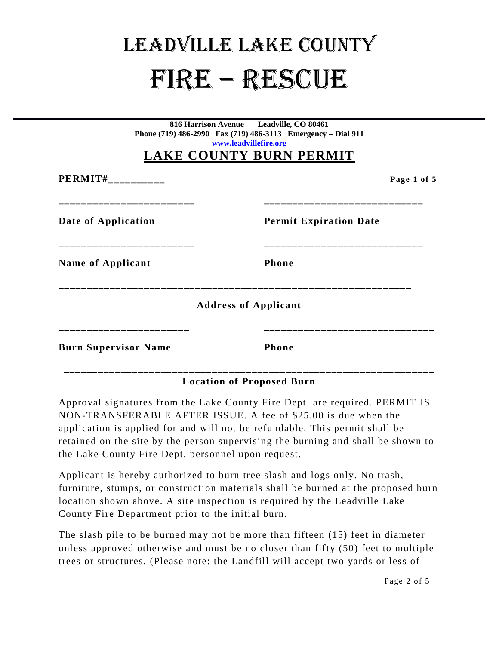**816 Harrison Avenue Leadville, CO 80461**

| $PERMIT#$ <sub>___________</sub>                     | www.leadvillefire.org<br>LAKE COUNTY BURN PERMIT<br>Page 1 of 5 |
|------------------------------------------------------|-----------------------------------------------------------------|
| Date of Application                                  | ____________________________<br><b>Permit Expiration Date</b>   |
| Name of Applicant                                    | <b>Phone</b>                                                    |
|                                                      | <b>Address of Applicant</b>                                     |
| ---------------------<br><b>Burn Supervisor Name</b> | Phone                                                           |

#### **Location of Proposed Burn**

Approval signatures from the Lake County Fire Dept. are required. PERMIT IS NON-TRANSFERABLE AFTER ISSUE. A fee of \$25.00 is due when the application is applied for and will not be refundable. This permit shall be retained on the site by the person supervising the burning and shall be shown to the Lake County Fire Dept. personnel upon request.

Applicant is hereby authorized to burn tree slash and logs only. No trash, furniture, stumps, or construction materials shall be burned at the proposed burn location shown above. A site inspection is required by the Leadville Lake County Fire Department prior to the initial burn.

The slash pile to be burned may not be more than fifteen (15) feet in diameter unless approved otherwise and must be no closer than fifty (50) feet to multiple trees or structures. (Please note: the Landfill will accept two yards or less of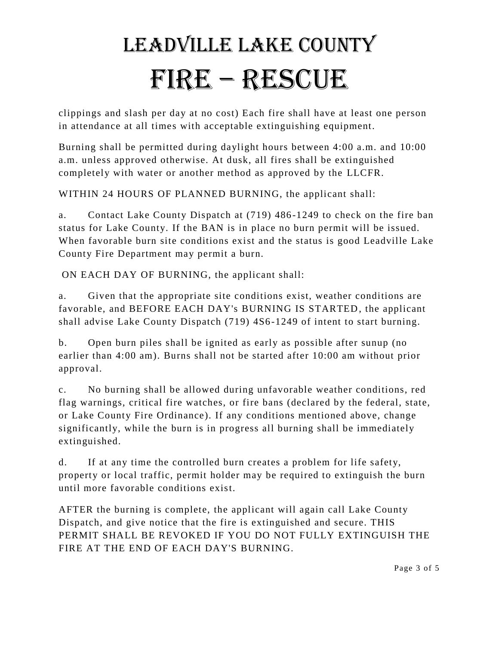clippings and slash per day at no cost) Each fire shall have at least one person in attendance at all times with acceptable extinguishing equipment.

Burning shall be permitted during daylight hours between 4:00 a.m. and 10:00 a.m. unless approved otherwise. At dusk, all fires shall be extinguished completely with water or another method as approved by the LLCFR.

WITHIN 24 HOURS OF PLANNED BURNING, the applicant shall:

a. Contact Lake County Dispatch at (719) 486-1249 to check on the fire ban status for Lake County. If the BAN is in place no burn permit will be issued. When favorable burn site conditions exist and the status is good Leadville Lake County Fire Department may permit a burn.

ON EACH DAY OF BURNING, the applicant shall:

a. Given that the appropriate site conditions exist, weather conditions are favorable, and BEFORE EACH DAY's BURNING IS STARTED, the applicant shall advise Lake County Dispatch (719) 4S6 -1249 of intent to start burning.

b. Open burn piles shall be ignited as early as possible after sunup (no earlier than 4:00 am). Burns shall not be started after 10:00 am without prior approval.

c. No burning shall be allowed during unfavorable weather conditions, red flag warnings, critical fire watches, or fire bans (declared by the federal, state, or Lake County Fire Ordinance). If any conditions mentioned above, change significantly, while the burn is in progress all burning shall be immediately extinguished.

d. If at any time the controlled burn creates a problem for life safety, property or local traffic, permit holder may be required to extinguish the burn until more favorable conditions exist.

AFTER the burning is complete, the applicant will again call Lake County Dispatch, and give notice that the fire is extinguished and secure. THIS PERMIT SHALL BE REVOKED IF YOU DO NOT FULLY EXTINGUISH THE FIRE AT THE END OF EACH DAY'S BURNING.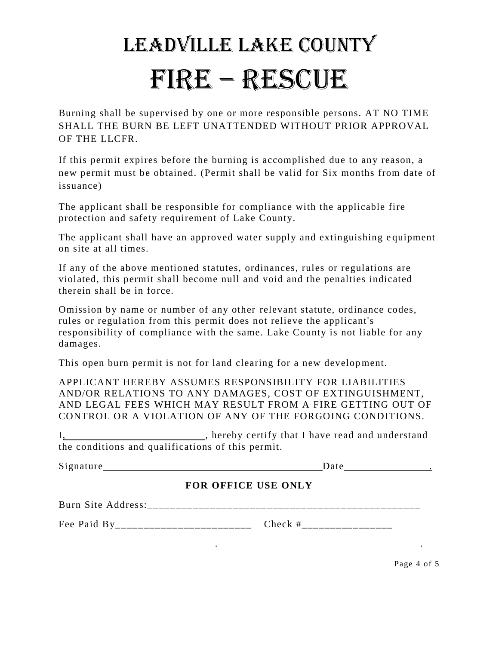Burning shall be supervised by one or more responsible persons. AT NO TIME SHALL THE BURN BE LEFT UNATTENDED WITHOUT PRIOR APPROVAL OF THE LLCFR.

If this permit expires before the burning is accomplished due to any reason, a new permit must be obtained. (Permit shall be valid for Six months from date of issuance)

The applicant shall be responsible for compliance with the applicable fire protection and safety requirement of Lake County.

The applicant shall have an approved water supply and extinguishing e quipment on site at all times.

If any of the above mentioned statutes, ordinances, rules or regulations are violated, this permit shall become null and void and the penalties indicated therein shall be in force.

Omission by name or number of any other relevant statute, ordinance codes, rules or regulation from this permit does not relieve the applicant's responsibility of compliance with the same. Lake County is not liable for any damages.

This open burn permit is not for land clearing for a new development.

APPLICANT HEREBY ASSUMES RESPONSIBILITY FOR LIABILITIES AND/OR RELATIONS TO ANY DAMAGES, COST OF EXTINGUISHMENT, AND LEGAL FEES WHICH MAY RESULT FROM A FIRE GETTING OUT OF CONTROL OR A VIOLATION OF ANY OF THE FORGOING CONDITIONS.

I, hereby certify that I have read and understand the conditions and qualifications of this permit.

|  | Date <u>__________</u><br>FOR OFFICE USE ONLY |  |  |
|--|-----------------------------------------------|--|--|
|  |                                               |  |  |
|  |                                               |  |  |
|  | Check # _________________                     |  |  |
|  |                                               |  |  |

Page 4 of 5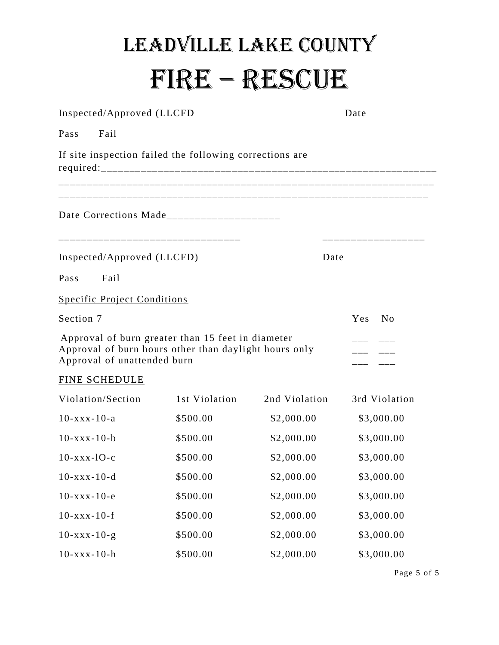| Inspected/Approved (LLCFD                                                                                                                 |               | Date          |                           |  |  |  |
|-------------------------------------------------------------------------------------------------------------------------------------------|---------------|---------------|---------------------------|--|--|--|
| Fail<br>Pass                                                                                                                              |               |               |                           |  |  |  |
| If site inspection failed the following corrections are                                                                                   |               |               |                           |  |  |  |
| Date Corrections Made______________________                                                                                               |               |               |                           |  |  |  |
| ____________________________<br>Inspected/Approved (LLCFD)                                                                                |               | Date          |                           |  |  |  |
| Fail<br>Pass                                                                                                                              |               |               |                           |  |  |  |
| <b>Specific Project Conditions</b>                                                                                                        |               |               |                           |  |  |  |
| Section 7                                                                                                                                 |               |               | Yes<br>$\overline{N}_{0}$ |  |  |  |
| Approval of burn greater than 15 feet in diameter<br>Approval of burn hours other than daylight hours only<br>Approval of unattended burn |               |               |                           |  |  |  |
| FINE SCHEDULE                                                                                                                             |               |               |                           |  |  |  |
| Violation/Section                                                                                                                         | 1st Violation | 2nd Violation | 3rd Violation             |  |  |  |
| $10 - x x x - 10 - a$                                                                                                                     | \$500.00      | \$2,000.00    | \$3,000.00                |  |  |  |
| $10 - x x x - 10 - b$                                                                                                                     | \$500.00      | \$2,000.00    | \$3,000.00                |  |  |  |
| $10 -$ xxx $-10 - c$                                                                                                                      | \$500.00      | \$2,000.00    | \$3,000.00                |  |  |  |
| $10 - x x x - 10 - d$                                                                                                                     | \$500.00      | \$2,000.00    | \$3,000.00                |  |  |  |
| $10 - x x x - 10 - e$                                                                                                                     | \$500.00      | \$2,000.00    | \$3,000.00                |  |  |  |
| $10 - x x x - 10 - f$                                                                                                                     | \$500.00      | \$2,000.00    | \$3,000.00                |  |  |  |
| $10 - x x x - 10 - g$                                                                                                                     | \$500.00      | \$2,000.00    | \$3,000.00                |  |  |  |
| $10 - x x x - 10 - h$                                                                                                                     | \$500.00      | \$2,000.00    | \$3,000.00                |  |  |  |